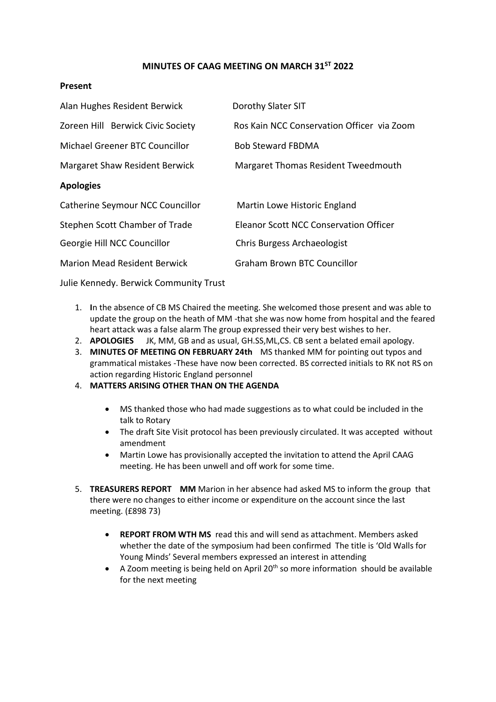# **MINUTES OF CAAG MEETING ON MARCH 31ST 2022**

#### **Present**

| Alan Hughes Resident Berwick        | Dorothy Slater SIT                            |
|-------------------------------------|-----------------------------------------------|
| Zoreen Hill Berwick Civic Society   | Ros Kain NCC Conservation Officer via Zoom    |
| Michael Greener BTC Councillor      | <b>Bob Steward FBDMA</b>                      |
| Margaret Shaw Resident Berwick      | Margaret Thomas Resident Tweedmouth           |
| <b>Apologies</b>                    |                                               |
| Catherine Seymour NCC Councillor    | Martin Lowe Historic England                  |
| Stephen Scott Chamber of Trade      | <b>Eleanor Scott NCC Conservation Officer</b> |
| Georgie Hill NCC Councillor         | Chris Burgess Archaeologist                   |
| <b>Marion Mead Resident Berwick</b> | <b>Graham Brown BTC Councillor</b>            |

Julie Kennedy. Berwick Community Trust

- 1. **I**n the absence of CB MS Chaired the meeting. She welcomed those present and was able to update the group on the heath of MM -that she was now home from hospital and the feared heart attack was a false alarm The group expressed their very best wishes to her.
- 2. **APOLOGIES** JK, MM, GB and as usual, GH.SS,ML,CS. CB sent a belated email apology.
- 3. **MINUTES OF MEETING ON FEBRUARY 24th** MS thanked MM for pointing out typos and grammatical mistakes -These have now been corrected. BS corrected initials to RK not RS on action regarding Historic England personnel
- 4. **MATTERS ARISING OTHER THAN ON THE AGENDA** 
	- MS thanked those who had made suggestions as to what could be included in the talk to Rotary
	- The draft Site Visit protocol has been previously circulated. It was accepted without amendment
	- Martin Lowe has provisionally accepted the invitation to attend the April CAAG meeting. He has been unwell and off work for some time.
- 5. **TREASURERS REPORT MM** Marion in her absence had asked MS to inform the group that there were no changes to either income or expenditure on the account since the last meeting. (£898 73)
	- **REPORT FROM WTH MS** read this and will send as attachment. Members asked whether the date of the symposium had been confirmed The title is 'Old Walls for Young Minds' Several members expressed an interest in attending
	- A Zoom meeting is being held on April 20<sup>th</sup> so more information should be available for the next meeting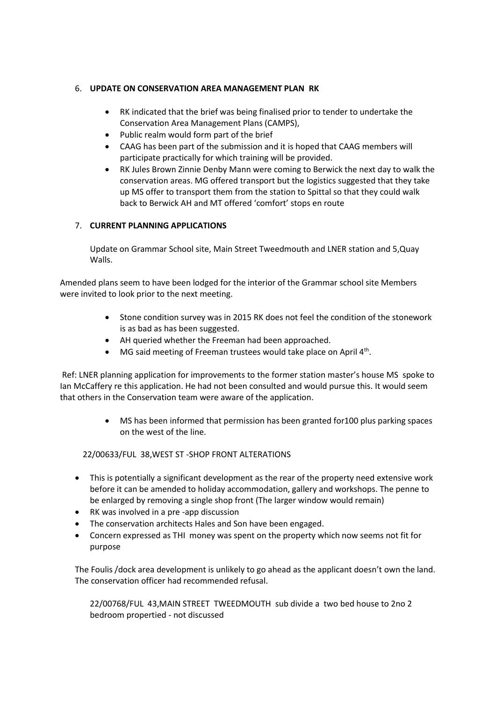# 6. **UPDATE ON CONSERVATION AREA MANAGEMENT PLAN RK**

- RK indicated that the brief was being finalised prior to tender to undertake the Conservation Area Management Plans (CAMPS),
- Public realm would form part of the brief
- CAAG has been part of the submission and it is hoped that CAAG members will participate practically for which training will be provided.
- RK Jules Brown Zinnie Denby Mann were coming to Berwick the next day to walk the conservation areas. MG offered transport but the logistics suggested that they take up MS offer to transport them from the station to Spittal so that they could walk back to Berwick AH and MT offered 'comfort' stops en route

# 7. **CURRENT PLANNING APPLICATIONS**

Update on Grammar School site, Main Street Tweedmouth and LNER station and 5,Quay Walls.

Amended plans seem to have been lodged for the interior of the Grammar school site Members were invited to look prior to the next meeting.

- Stone condition survey was in 2015 RK does not feel the condition of the stonework is as bad as has been suggested.
- AH queried whether the Freeman had been approached.
- $\bullet$  MG said meeting of Freeman trustees would take place on April 4<sup>th</sup>.

Ref: LNER planning application for improvements to the former station master's house MS spoke to Ian McCaffery re this application. He had not been consulted and would pursue this. It would seem that others in the Conservation team were aware of the application.

> • MS has been informed that permission has been granted for100 plus parking spaces on the west of the line.

22/00633/FUL 38,WEST ST -SHOP FRONT ALTERATIONS

- This is potentially a significant development as the rear of the property need extensive work before it can be amended to holiday accommodation, gallery and workshops. The penne to be enlarged by removing a single shop front (The larger window would remain)
- RK was involved in a pre -app discussion
- The conservation architects Hales and Son have been engaged.
- Concern expressed as THI money was spent on the property which now seems not fit for purpose

The Foulis /dock area development is unlikely to go ahead as the applicant doesn't own the land. The conservation officer had recommended refusal.

22/00768/FUL 43,MAIN STREET TWEEDMOUTH sub divide a two bed house to 2no 2 bedroom propertied - not discussed